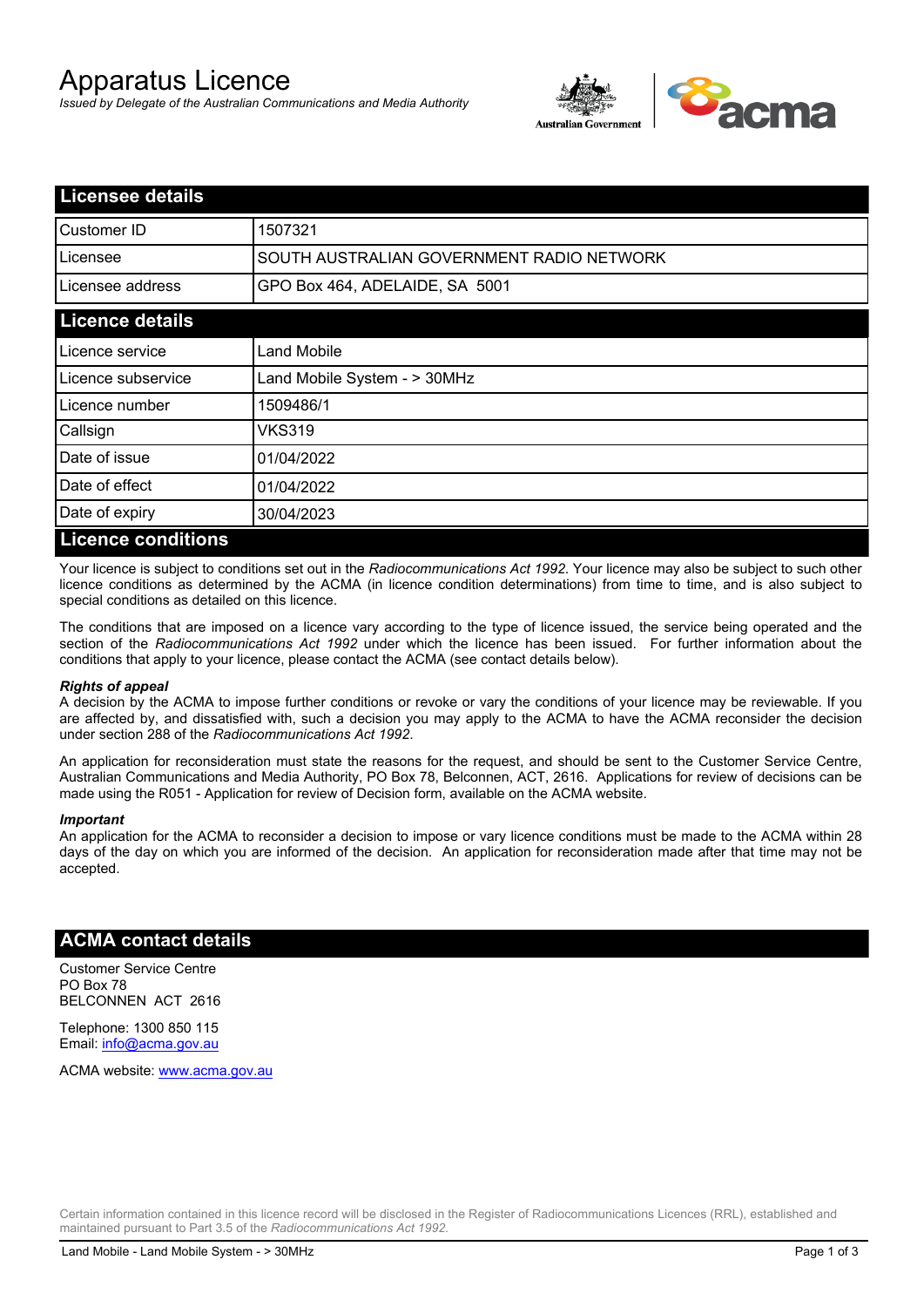# Apparatus Licence

*Issued by Delegate of the Australian Communications and Media Authority*



| <b>Licensee details</b>   |                                           |  |
|---------------------------|-------------------------------------------|--|
| Customer ID               | 1507321                                   |  |
| Licensee                  | SOUTH AUSTRALIAN GOVERNMENT RADIO NETWORK |  |
| Licensee address          | GPO Box 464, ADELAIDE, SA 5001            |  |
| <b>Licence details</b>    |                                           |  |
| Licence service           | Land Mobile                               |  |
| Licence subservice        | Land Mobile System - > 30MHz              |  |
| Licence number            | 1509486/1                                 |  |
| Callsign                  | VKS319                                    |  |
| Date of issue             | 01/04/2022                                |  |
| Date of effect            | 01/04/2022                                |  |
| Date of expiry            | 30/04/2023                                |  |
| <b>Licence conditions</b> |                                           |  |

Your licence is subject to conditions set out in the *Radiocommunications Act 1992*. Your licence may also be subject to such other licence conditions as determined by the ACMA (in licence condition determinations) from time to time, and is also subject to special conditions as detailed on this licence.

The conditions that are imposed on a licence vary according to the type of licence issued, the service being operated and the section of the *Radiocommunications Act 1992* under which the licence has been issued. For further information about the conditions that apply to your licence, please contact the ACMA (see contact details below).

#### *Rights of appeal*

A decision by the ACMA to impose further conditions or revoke or vary the conditions of your licence may be reviewable. If you are affected by, and dissatisfied with, such a decision you may apply to the ACMA to have the ACMA reconsider the decision under section 288 of the *Radiocommunications Act 1992*.

An application for reconsideration must state the reasons for the request, and should be sent to the Customer Service Centre, Australian Communications and Media Authority, PO Box 78, Belconnen, ACT, 2616. Applications for review of decisions can be made using the R051 - Application for review of Decision form, available on the ACMA website.

#### *Important*

An application for the ACMA to reconsider a decision to impose or vary licence conditions must be made to the ACMA within 28 days of the day on which you are informed of the decision. An application for reconsideration made after that time may not be accepted.

### **ACMA contact details**

Customer Service Centre PO Box 78 BELCONNEN ACT 2616

Telephone: 1300 850 115 Email: info@acma.gov.au

ACMA website: www.acma.gov.au

Certain information contained in this licence record will be disclosed in the Register of Radiocommunications Licences (RRL), established and maintained pursuant to Part 3.5 of the *Radiocommunications Act 1992.*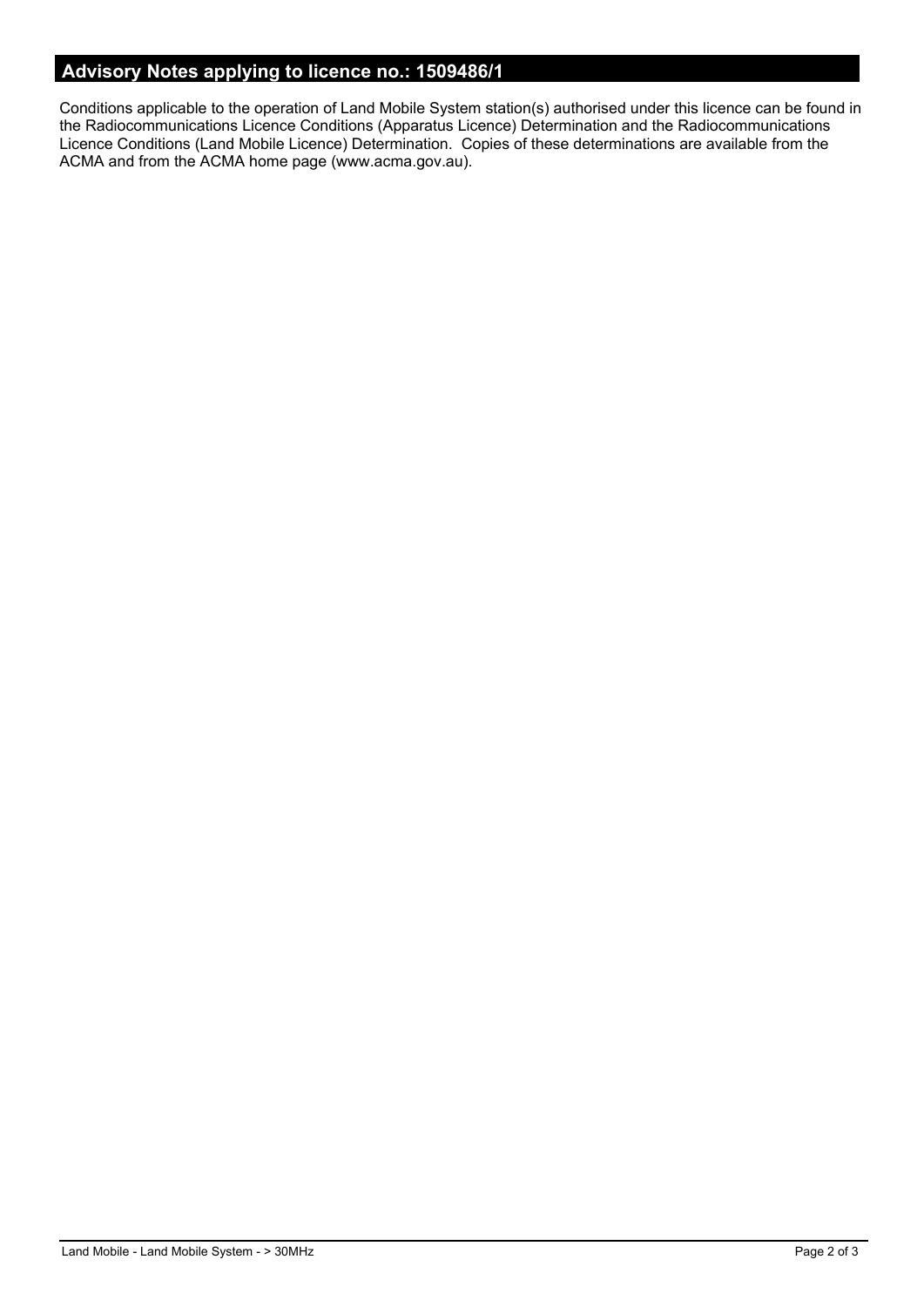## **Advisory Notes applying to licence no.: 1509486/1**

Conditions applicable to the operation of Land Mobile System station(s) authorised under this licence can be found in the Radiocommunications Licence Conditions (Apparatus Licence) Determination and the Radiocommunications Licence Conditions (Land Mobile Licence) Determination. Copies of these determinations are available from the ACMA and from the ACMA home page (www.acma.gov.au).